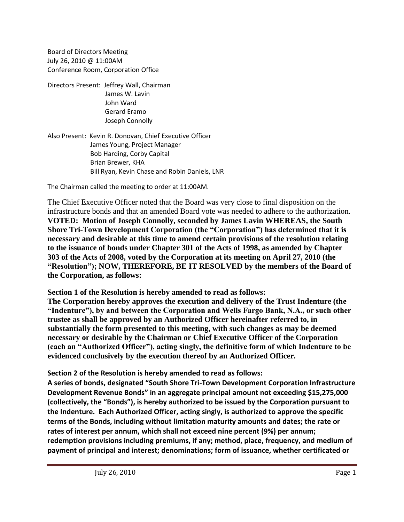Board of Directors Meeting July 26, 2010 @ 11:00AM Conference Room, Corporation Office

Directors Present: Jeffrey Wall, Chairman James W. Lavin John Ward Gerard Eramo Joseph Connolly

Also Present: Kevin R. Donovan, Chief Executive Officer James Young, Project Manager Bob Harding, Corby Capital Brian Brewer, KHA Bill Ryan, Kevin Chase and Robin Daniels, LNR

The Chairman called the meeting to order at 11:00AM.

The Chief Executive Officer noted that the Board was very close to final disposition on the infrastructure bonds and that an amended Board vote was needed to adhere to the authorization. **VOTED: Motion of Joseph Connolly, seconded by James Lavin WHEREAS, the South Shore Tri-Town Development Corporation (the "Corporation") has determined that it is necessary and desirable at this time to amend certain provisions of the resolution relating to the issuance of bonds under Chapter 301 of the Acts of 1998, as amended by Chapter 303 of the Acts of 2008, voted by the Corporation at its meeting on April 27, 2010 (the "Resolution"); NOW, THEREFORE, BE IT RESOLVED by the members of the Board of the Corporation, as follows:**

**Section 1 of the Resolution is hereby amended to read as follows:** 

**The Corporation hereby approves the execution and delivery of the Trust Indenture (the "Indenture"), by and between the Corporation and Wells Fargo Bank, N.A., or such other trustee as shall be approved by an Authorized Officer hereinafter referred to, in substantially the form presented to this meeting, with such changes as may be deemed necessary or desirable by the Chairman or Chief Executive Officer of the Corporation (each an "Authorized Officer"), acting singly, the definitive form of which Indenture to be evidenced conclusively by the execution thereof by an Authorized Officer.**

**Section 2 of the Resolution is hereby amended to read as follows:** 

**A series of bonds, designated "South Shore Tri-Town Development Corporation Infrastructure Development Revenue Bonds" in an aggregate principal amount not exceeding \$15,275,000 (collectively, the "Bonds"), is hereby authorized to be issued by the Corporation pursuant to the Indenture. Each Authorized Officer, acting singly, is authorized to approve the specific terms of the Bonds, including without limitation maturity amounts and dates; the rate or rates of interest per annum, which shall not exceed nine percent (9%) per annum; redemption provisions including premiums, if any; method, place, frequency, and medium of payment of principal and interest; denominations; form of issuance, whether certificated or**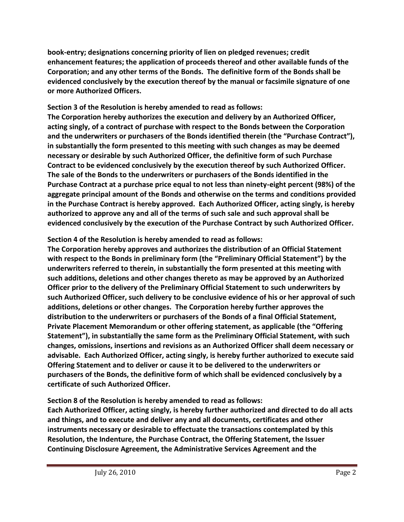**book-entry; designations concerning priority of lien on pledged revenues; credit enhancement features; the application of proceeds thereof and other available funds of the Corporation; and any other terms of the Bonds. The definitive form of the Bonds shall be evidenced conclusively by the execution thereof by the manual or facsimile signature of one or more Authorized Officers.**

**Section 3 of the Resolution is hereby amended to read as follows: The Corporation hereby authorizes the execution and delivery by an Authorized Officer, acting singly, of a contract of purchase with respect to the Bonds between the Corporation and the underwriters or purchasers of the Bonds identified therein (the "Purchase Contract"), in substantially the form presented to this meeting with such changes as may be deemed necessary or desirable by such Authorized Officer, the definitive form of such Purchase Contract to be evidenced conclusively by the execution thereof by such Authorized Officer. The sale of the Bonds to the underwriters or purchasers of the Bonds identified in the Purchase Contract at a purchase price equal to not less than ninety-eight percent (98%) of the aggregate principal amount of the Bonds and otherwise on the terms and conditions provided in the Purchase Contract is hereby approved. Each Authorized Officer, acting singly, is hereby authorized to approve any and all of the terms of such sale and such approval shall be evidenced conclusively by the execution of the Purchase Contract by such Authorized Officer.**

**Section 4 of the Resolution is hereby amended to read as follows:** 

**The Corporation hereby approves and authorizes the distribution of an Official Statement with respect to the Bonds in preliminary form (the "Preliminary Official Statement") by the underwriters referred to therein, in substantially the form presented at this meeting with such additions, deletions and other changes thereto as may be approved by an Authorized Officer prior to the delivery of the Preliminary Official Statement to such underwriters by such Authorized Officer, such delivery to be conclusive evidence of his or her approval of such additions, deletions or other changes. The Corporation hereby further approves the distribution to the underwriters or purchasers of the Bonds of a final Official Statement, Private Placement Memorandum or other offering statement, as applicable (the "Offering Statement"), in substantially the same form as the Preliminary Official Statement, with such changes, omissions, insertions and revisions as an Authorized Officer shall deem necessary or advisable. Each Authorized Officer, acting singly, is hereby further authorized to execute said Offering Statement and to deliver or cause it to be delivered to the underwriters or purchasers of the Bonds, the definitive form of which shall be evidenced conclusively by a certificate of such Authorized Officer.**

**Section 8 of the Resolution is hereby amended to read as follows:**

**Each Authorized Officer, acting singly, is hereby further authorized and directed to do all acts and things, and to execute and deliver any and all documents, certificates and other instruments necessary or desirable to effectuate the transactions contemplated by this Resolution, the Indenture, the Purchase Contract, the Offering Statement, the Issuer Continuing Disclosure Agreement, the Administrative Services Agreement and the**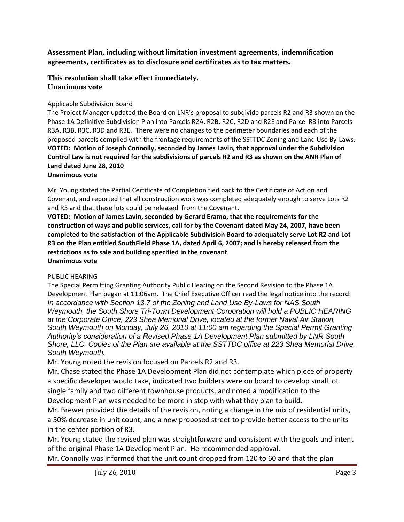# **Assessment Plan, including without limitation investment agreements, indemnification agreements, certificates as to disclosure and certificates as to tax matters.**

## **This resolution shall take effect immediately. Unanimous vote**

## Applicable Subdivision Board

The Project Manager updated the Board on LNR's proposal to subdivide parcels R2 and R3 shown on the Phase 1A Definitive Subdivision Plan into Parcels R2A, R2B, R2C, R2D and R2E and Parcel R3 into Parcels R3A, R3B, R3C, R3D and R3E. There were no changes to the perimeter boundaries and each of the proposed parcels complied with the frontage requirements of the SSTTDC Zoning and Land Use By-Laws. **VOTED: Motion of Joseph Connolly, seconded by James Lavin, that approval under the Subdivision Control Law is not required for the subdivisions of parcels R2 and R3 as shown on the ANR Plan of Land dated June 28, 2010**

### **Unanimous vote**

Mr. Young stated the Partial Certificate of Completion tied back to the Certificate of Action and Covenant, and reported that all construction work was completed adequately enough to serve Lots R2 and R3 and that these lots could be released from the Covenant.

**VOTED: Motion of James Lavin, seconded by Gerard Eramo, that the requirements for the construction of ways and public services, call for by the Covenant dated May 24, 2007, have been completed to the satisfaction of the Applicable Subdivision Board to adequately serve Lot R2 and Lot R3 on the Plan entitled SouthField Phase 1A, dated April 6, 2007; and is hereby released from the restrictions as to sale and building specified in the covenant Unanimous vote**

### PUBLIC HEARING

The Special Permitting Granting Authority Public Hearing on the Second Revision to the Phase 1A Development Plan began at 11:06am. The Chief Executive Officer read the legal notice into the record: *In accordance with Section 13.7 of the Zoning and Land Use By-Laws for NAS South Weymouth, the South Shore Tri-Town Development Corporation will hold a PUBLIC HEARING at the Corporate Office, 223 Shea Memorial Drive, located at the former Naval Air Station, South Weymouth on Monday, July 26, 2010 at 11:00 am regarding the Special Permit Granting Authority's consideration of a Revised Phase 1A Development Plan submitted by LNR South Shore, LLC. Copies of the Plan are available at the SSTTDC office at 223 Shea Memorial Drive, South Weymouth.*

Mr. Young noted the revision focused on Parcels R2 and R3.

Mr. Chase stated the Phase 1A Development Plan did not contemplate which piece of property a specific developer would take, indicated two builders were on board to develop small lot single family and two different townhouse products, and noted a modification to the Development Plan was needed to be more in step with what they plan to build.

Mr. Brewer provided the details of the revision, noting a change in the mix of residential units, a 50% decrease in unit count, and a new proposed street to provide better access to the units in the center portion of R3.

Mr. Young stated the revised plan was straightforward and consistent with the goals and intent of the original Phase 1A Development Plan. He recommended approval.

Mr. Connolly was informed that the unit count dropped from 120 to 60 and that the plan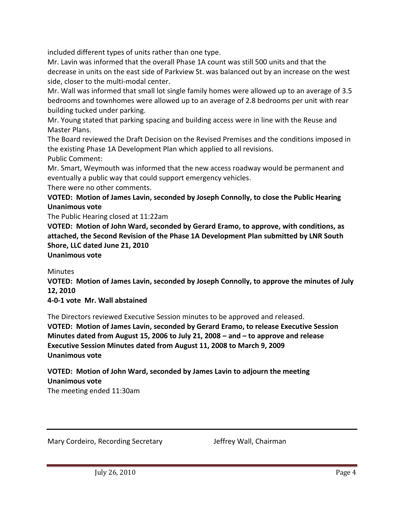included different types of units rather than one type.

Mr. Lavin was informed that the overall Phase 1A count was still 500 units and that the decrease in units on the east side of Parkview St. was balanced out by an increase on the west side, closer to the multi-modal center.

Mr. Wall was informed that small lot single family homes were allowed up to an average of 3.5 bedrooms and townhomes were allowed up to an average of 2.8 bedrooms per unit with rear building tucked under parking.

Mr. Young stated that parking spacing and building access were in line with the Reuse and Master Plans.

The Board reviewed the Draft Decision on the Revised Premises and the conditions imposed in the existing Phase 1A Development Plan which applied to all revisions. Public Comment:

Mr. Smart, Weymouth was informed that the new access roadway would be permanent and eventually a public way that could support emergency vehicles.

There were no other comments.

**VOTED: Motion of James Lavin, seconded by Joseph Connolly, to close the Public Hearing Unanimous vote**

The Public Hearing closed at 11:22am

**VOTED: Motion of John Ward, seconded by Gerard Eramo, to approve, with conditions, as attached, the Second Revision of the Phase 1A Development Plan submitted by LNR South Shore, LLC dated June 21, 2010**

**Unanimous vote**

Minutes

**VOTED: Motion of James Lavin, seconded by Joseph Connolly, to approve the minutes of July 12, 2010**

**4-0-1 vote Mr. Wall abstained**

The Directors reviewed Executive Session minutes to be approved and released. **VOTED: Motion of James Lavin, seconded by Gerard Eramo, to release Executive Session Minutes dated from August 15, 2006 to July 21, 2008 – and – to approve and release Executive Session Minutes dated from August 11, 2008 to March 9, 2009 Unanimous vote**

**VOTED: Motion of John Ward, seconded by James Lavin to adjourn the meeting Unanimous vote** The meeting ended 11:30am

Mary Cordeiro, Recording Secretary **Fig. 2018** Jeffrey Wall, Chairman